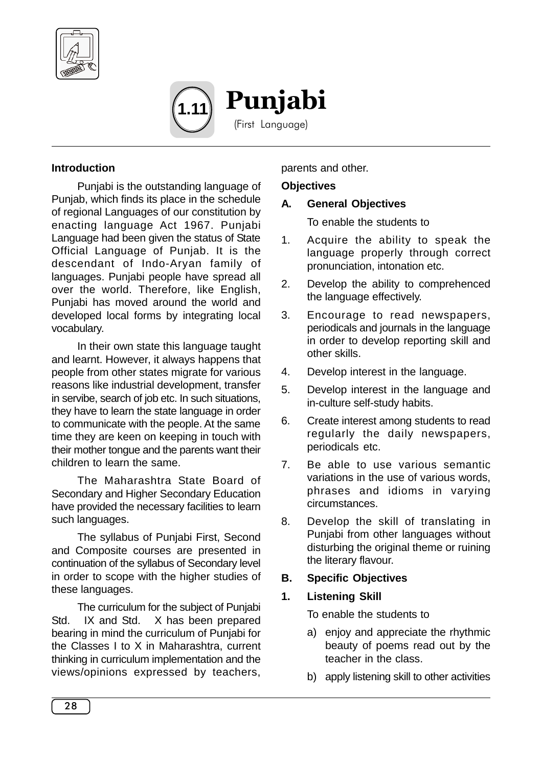

 Punjabi (First Language) **1.11**

#### **Introduction**

Punjabi is the outstanding language of Punjab, which finds its place in the schedule of regional Languages of our constitution by enacting language Act 1967. Punjabi Language had been given the status of State Official Language of Punjab. It is the descendant of Indo-Aryan family of languages. Punjabi people have spread all over the world. Therefore, like English, Punjabi has moved around the world and developed local forms by integrating local vocabulary.

In their own state this language taught and learnt. However, it always happens that people from other states migrate for various reasons like industrial development, transfer in servibe, search of job etc. In such situations, they have to learn the state language in order to communicate with the people. At the same time they are keen on keeping in touch with their mother tongue and the parents want their children to learn the same.

The Maharashtra State Board of Secondary and Higher Secondary Education have provided the necessary facilities to learn such languages.

The syllabus of Punjabi First, Second and Composite courses are presented in continuation of the syllabus of Secondary level in order to scope with the higher studies of these languages.

The curriculum for the subject of Punjabi Std. IX and Std. X has been prepared bearing in mind the curriculum of Punjabi for the Classes I to X in Maharashtra, current thinking in curriculum implementation and the views/opinions expressed by teachers,

parents and other.

#### **Objectives**

#### **A. General Objectives**

To enable the students to

- 1. Acquire the ability to speak the language properly through correct pronunciation, intonation etc.
- 2. Develop the ability to comprehenced the language effectively.
- 3. Encourage to read newspapers, periodicals and journals in the language in order to develop reporting skill and other skills.
- 4. Develop interest in the language.
- 5. Develop interest in the language and in-culture self-study habits.
- 6. Create interest among students to read regularly the daily newspapers, periodicals etc.
- 7. Be able to use various semantic variations in the use of various words, phrases and idioms in varying circumstances.
- 8. Develop the skill of translating in Punjabi from other languages without disturbing the original theme or ruining the literary flavour.

#### **B. Specific Objectives**

#### **1. Listening Skill**

To enable the students to

- a) enjoy and appreciate the rhythmic beauty of poems read out by the teacher in the class.
- b) apply listening skill to other activities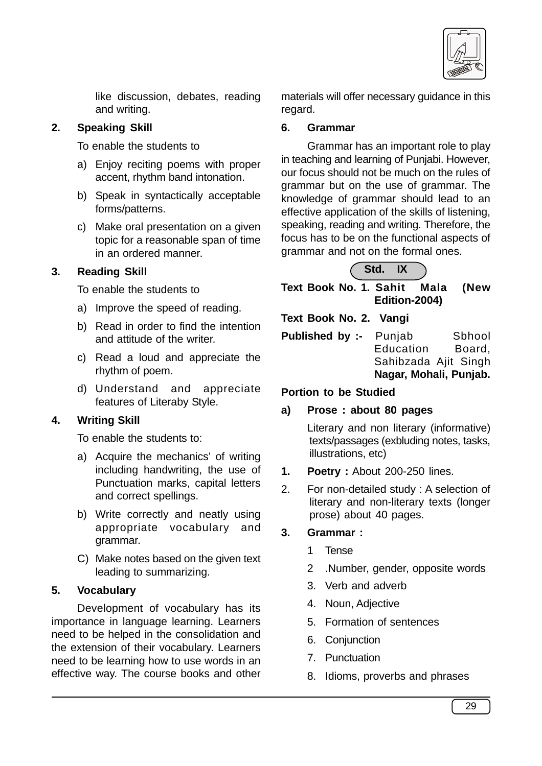

like discussion, debates, reading and writing.

## **2. Speaking Skill**

To enable the students to

- a) Enjoy reciting poems with proper accent, rhythm band intonation.
- b) Speak in syntactically acceptable forms/patterns.
- c) Make oral presentation on a given topic for a reasonable span of time in an ordered manner.

# **3. Reading Skill**

To enable the students to

- a) Improve the speed of reading.
- b) Read in order to find the intention and attitude of the writer.
- c) Read a loud and appreciate the rhythm of poem.
- d) Understand and appreciate features of Literaby Style.

## **4. Writing Skill**

To enable the students to:

- a) Acquire the mechanics' of writing including handwriting, the use of Punctuation marks, capital letters and correct spellings.
- b) Write correctly and neatly using appropriate vocabulary and grammar.
- C) Make notes based on the given text leading to summarizing.

## **5. Vocabulary**

Development of vocabulary has its importance in language learning. Learners need to be helped in the consolidation and the extension of their vocabulary. Learners need to be learning how to use words in an effective way. The course books and other

materials will offer necessary guidance in this regard.

### **6. Grammar**

Grammar has an important role to play in teaching and learning of Punjabi. However, our focus should not be much on the rules of grammar but on the use of grammar. The knowledge of grammar should lead to an effective application of the skills of listening, speaking, reading and writing. Therefore, the focus has to be on the functional aspects of grammar and not on the formal ones.



**Text Book No. 1. Sahit Mala (New Edition-2004)**

**Text Book No. 2. Vangi**

**Published by :-** Punjab Sbhool Education Board, Sahibzada Ajit Singh **Nagar, Mohali, Punjab.**

## **Portion to be Studied**

## **a) Prose : about 80 pages**

Literary and non literary (informative) texts/passages (exbluding notes, tasks, illustrations, etc)

- **1. Poetry :** About 200-250 lines.
- 2. For non-detailed study : A selection of literary and non-literary texts (longer prose) about 40 pages.

# **3. Grammar :**

- 1 Tense
- 2 .Number, gender, opposite words
- 3. Verb and adverb
- 4. Noun, Adjective
- 5. Formation of sentences
- 6. Conjunction
- 7. Punctuation
- 8. Idioms, proverbs and phrases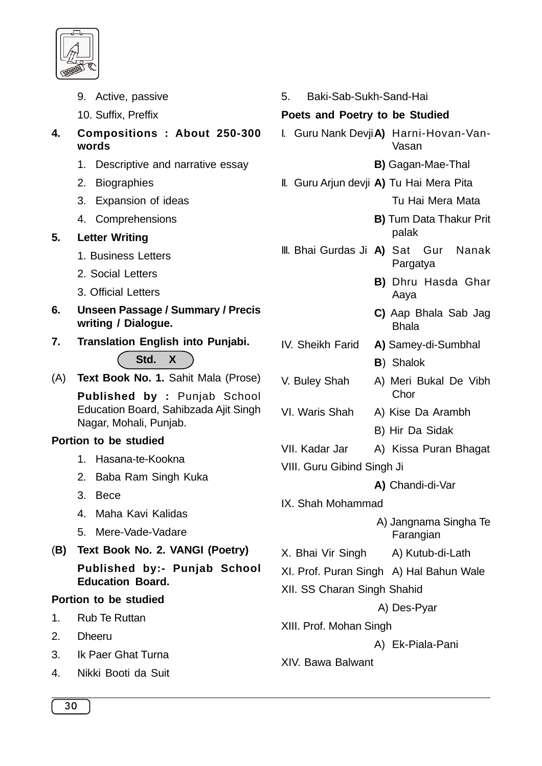

- 9. Active, passive
- 10. Suffix, Preffix
- **4. Compositions : About 250-300 words**
	- 1. Descriptive and narrative essay
	- 2. Biographies
	- 3. Expansion of ideas
	- 4. Comprehensions

# **5. Letter Writing**

- 1. Business Letters
- 2. Social Letters
- 3. Official Letters
- **6. Unseen Passage / Summary / Precis writing / Dialogue.**
- **7. Translation English into Punjabi.**
	- **Std. X**
- (A) **Text Book No. 1.** Sahit Mala (Prose)

**Published by :** Punjab School Education Board, Sahibzada Ajit Singh Nagar, Mohali, Punjab.

## **Portion to be studied**

- 1. Hasana-te-Kookna
- 2. Baba Ram Singh Kuka
- 3. Bece
- 4. Maha Kavi Kalidas
- 5. Mere-Vade-Vadare
- (**B) Text Book No. 2. VANGI (Poetry) Published by:- Punjab School Education Board.**

#### **Portion to be studied**

- 1. Rub Te Ruttan
- 2. Dheeru
- 3. Ik Paer Ghat Turna
- 4. Nikki Booti da Suit

5. Baki-Sab-Sukh-Sand-Hai

## **Poets and Poetry to be Studied**

- I. Guru Nank Devji**A)** Harni-Hovan-Van-Vasan
	- **B)** Gagan-Mae-Thal
- II. Guru Arjun devji **A)** Tu Hai Mera Pita
	- Tu Hai Mera Mata
	- **B)** Tum Data Thakur Prit palak
- III. Bhai Gurdas Ji **A)** Sat Gur Nanak **Pargatya** 
	- **B)** Dhru Hasda Ghar Aaya
	- **C)** Aap Bhala Sab Jag Bhala
- IV. Sheikh Farid **A)** Samey-di-Sumbhal
	- **B**) Shalok
- V. Buley Shah A) Meri Bukal De Vibh **Chor**
- VI. Waris Shah A) Kise Da Arambh
	- B) Hir Da Sidak
- VII. Kadar Jar A) Kissa Puran Bhagat
- VIII. Guru Gibind Singh Ji
	- **A)** Chandi-di-Var
- IX. Shah Mohammad
	- A) Jangnama Singha Te Farangian
- X. Bhai Vir Singh A) Kutub-di-Lath
- XI. Prof. Puran Singh A) Hal Bahun Wale
- XII. SS Charan Singh Shahid

A) Des-Pyar

XIII. Prof. Mohan Singh

A) Ek-Piala-Pani

XIV. Bawa Balwant